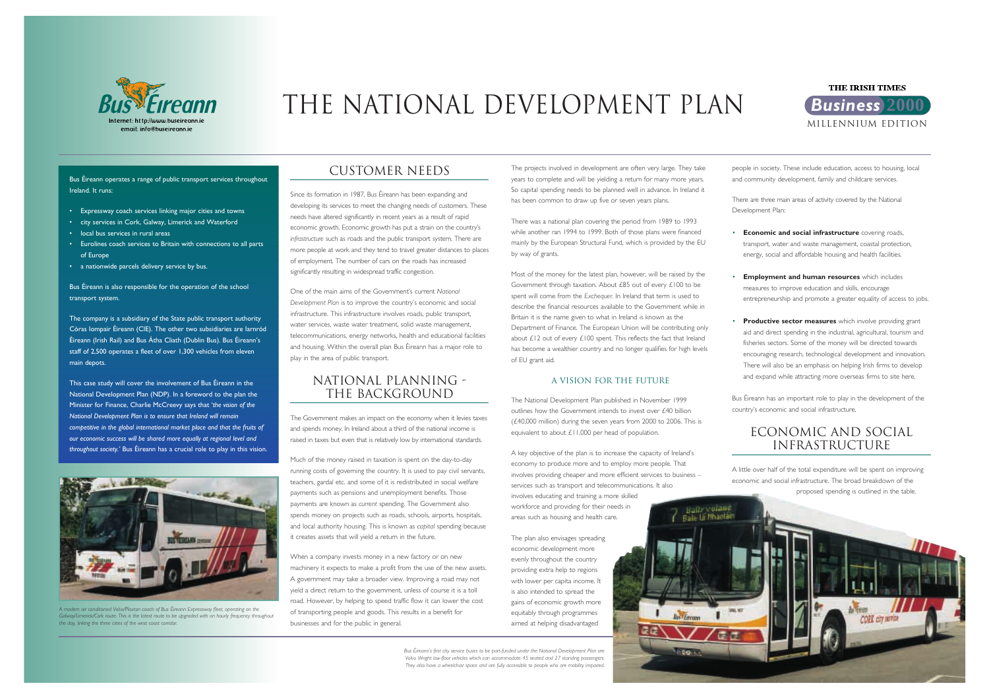

# THE NATIONAL DEVELOPMENT PLAN *Business* **<sup>2000</sup>**



Bus Éireann operates a range of public transport services throughout Ireland. It runs:

- Expressway coach services linking major cities and towns
- city services in Cork, Galway, Limerick and Waterford
- local bus services in rural areas
- Eurolines coach services to Britain with connections to all parts of Europe
- a nationwide parcels delivery service by bus.

Bus Éireann is also responsible for the operation of the school transport system.

The company is a subsidiary of the State public transport authority Córas Iompair Éireann (CIE). The other two subsidiaries are Iarnród Éireann (Irish Rail) and Bus Átha Cliath (Dublin Bus). Bus Éireann's staff of 2,500 operates a fleet of over 1,300 vehicles from eleven main depots.

This case study will cover the involvement of Bus Éireann in the National Development Plan (NDP). In a foreword to the plan the Minister for Finance, Charlie McCreevy says that '*the vision of the National Development Plan is to ensure that Ireland will remain competitive in the global international market place and that the fruits of our economic success will be shared more equally at regional level and throughout society.'* Bus Éireann has a crucial role to play in this vision.

## CUSTOMER NEEDS

Since its formation in 1987, Bus Éireann has been expanding and developing its services to meet the changing needs of customers. These needs have altered significantly in recent years as a result of rapid economic growth. Economic growth has put a strain on the country's *infrastructure* such as roads and the public transport system. There are more people at work and they tend to travel greater distances to places of employment. The number of cars on the roads has increased significantly resulting in widespread traffic congestion.

One of the main aims of the Government's current *National Development Plan* is to improve the country's economic and social infrastructure. This infrastructure involves roads, public transport, water services, waste water treatment, solid waste management, telecommunications, energy networks, health and educational facilities and housing. Within the overall plan Bus Éireann has a major role to play in the area of public transport.

## NATIONAL PLANNING - THE BACKGROUND

The Government makes an impact on the economy when it levies taxes and spends money. In Ireland about a third of the national income is raised in taxes but even that is relatively low by international standards.

Much of the money raised in taxation is spent on the day-to-day running costs of governing the country. It is used to pay civil servants, teachers, gardaí etc. and some of it is redistributed in social welfare payments such as pensions and unemployment benefits. Those payments are known as *current* spending. The Government also spends money on projects such as roads, schools, airports, hospitals, and local authority housing. This is known as *capital* spending because it creates assets that will yield a return in the future.

When a company invests money in a new factory or on new machinery it expects to make a profit from the use of the new assets. A government may take a broader view. Improving a road may not yield a direct return to the government, unless of course it is a toll road. However, by helping to speed traffic flow it can lower the cost of transporting people and goods. This results in a benefit for businesses and for the public in general.

The projects involved in development are often very large. They take years to complete and will be yielding a return for many more years. So capital spending needs to be planned well in advance. In Ireland it has been common to draw up five or seven years plans.

There was a national plan covering the period from 1989 to 1993 while another ran 1994 to 1999. Both of those plans were financed mainly by the European Structural Fund, which is provided by the EU by way of grants.

Most of the money for the latest plan, however, will be raised by the Government through taxation. About £85 out of every £100 to be spent will come from the *Exchequer.* In Ireland that term is used to describe the financial resources available to the Government while in Britain it is the name given to what in Ireland is known as the Department of Finance. The European Union will be contributing only about  $£12$  out of every  $£100$  spent. This reflects the fact that Ireland has become a wealthier country and no longer qualifies for high levels of EU grant aid.

## A vision for the future

The National Development Plan published in November 1999 outlines how the Government intends to invest over £40 billion (£40,000 million) during the seven years from 2000 to 2006. This is equivalent to about £11,000 per head of population.

A key objective of the plan is to increase the capacity of Ireland's economy to produce more and to employ more people. That involves providing cheaper and more efficient services to business – services such as transport and telecommunications. It also involves educating and training a more skilled workforce and providing for their needs in areas such as housing and health care.

The plan also envisages spreading economic development more evenly throughout the country providing extra help to regions with lower per capita income. It is also intended to spread the gains of economic growth more equitably through programmes aimed at helping disadvantaged

people in society. These include education, access to housing, local and community development, family and childcare services.

There are three main areas of activity covered by the National Development Plan:

• **Economic and social infrastructure** covering roads, transport, water and waste management, coastal protection, energy, social and affordable housing and health facilities.

•



 **Employment and human resources** which includes measures to improve education and skills, encourage entrepreneurship and promote a greater equality of access to jobs.

• **Productive sector measures** which involve providing grant aid and direct spending in the industrial, agricultural, tourism and fisheries sectors. Some of the money will be directed towards encouraging research, technological development and innovation. There will also be an emphasis on helping Irish firms to develop and expand while attracting more overseas firms to site here.

Bus Éireann has an important role to play in the development of the country's economic and social infrastructure.

# Economic and social infrastructure

A little over half of the total expenditure will be spent on improving economic and social infrastructure. The broad breakdown of the proposed spending is outlined in the table.



*A modern air conditioned Volvo/Plaxton coach of Bus Éireann Expressway fleet, operating on the Galway/Limerick/Cork route. This is the latest route to be upgraded with an hourly frequency throughout the day, linking the three cities of the west coast corridor.*

*Bus Éireann's first city service buses to be part-funded under the National Development Plan are Volvo Wright low-floor vehicles which can accommodate 45 seated and 27 standing passengers. They also have a wheelchair space and are fully accessible to people who are mobility impaired.*